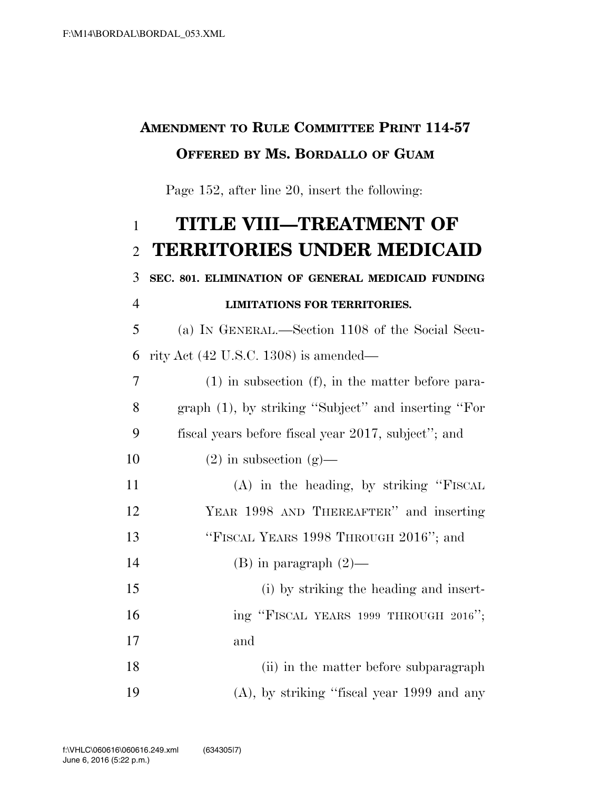### **AMENDMENT TO RULE COMMITTEE PRINT 114-57 OFFERED BY MS. BORDALLO OF GUAM**

Page 152, after line 20, insert the following:

# **TITLE VIII—TREATMENT OF TERRITORIES UNDER MEDICAID**

# **SEC. 801. ELIMINATION OF GENERAL MEDICAID FUNDING**

#### **LIMITATIONS FOR TERRITORIES.**

 (a) IN GENERAL.—Section 1108 of the Social Secu-rity Act (42 U.S.C. 1308) is amended—

| $\overline{7}$ | $(1)$ in subsection $(f)$ , in the matter before para- |
|----------------|--------------------------------------------------------|
| 8              | graph (1), by striking "Subject" and inserting "For    |
| 9              | fiscal years before fiscal year 2017, subject"; and    |
| 10             | $(2)$ in subsection $(g)$ —                            |
| 11             | $(A)$ in the heading, by striking "FISCAL              |
| 12             | YEAR 1998 AND THEREAFTER" and inserting                |
| 13             | "FISCAL YEARS 1998 THROUGH 2016"; and                  |
| 14             | (B) in paragraph $(2)$ —                               |
| 15             | (i) by striking the heading and insert-                |
| 16             | ing "FISCAL YEARS 1999 THROUGH 2016";                  |
| 17             | and                                                    |
| 18             | (ii) in the matter before subparagraph                 |
| 19             | $(A)$ , by striking "fiscal year 1999 and any          |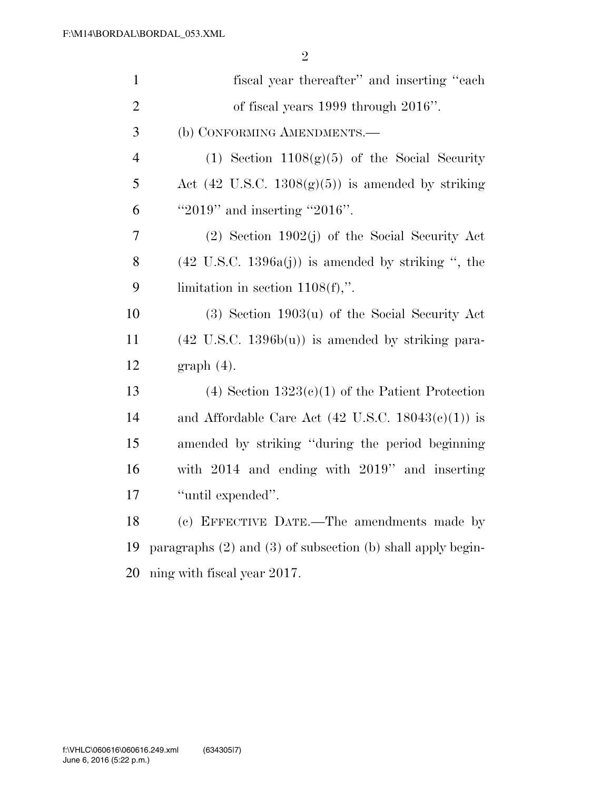| $\mathbf{1}$   | fiscal year thereafter" and inserting "each"                      |
|----------------|-------------------------------------------------------------------|
| $\overline{2}$ | of fiscal years $1999$ through $2016$ ".                          |
| 3              | (b) CONFORMING AMENDMENTS.-                                       |
| $\overline{4}$ | (1) Section $1108(g)(5)$ of the Social Security                   |
| 5              | Act $(42 \text{ U.S.C. } 1308(g)(5))$ is amended by striking      |
| 6              | " $2019$ " and inserting " $2016$ ".                              |
| 7              | $(2)$ Section 1902(j) of the Social Security Act                  |
| 8              | $(42 \text{ U.S.C. } 1396a(j))$ is amended by striking ", the     |
| 9              | limitation in section $1108(f)$ ,".                               |
| 10             | $(3)$ Section 1903 $(u)$ of the Social Security Act               |
| 11             | $(42 \text{ U.S.C. } 1396b(u))$ is amended by striking para-      |
| 12             | $graph(4)$ .                                                      |
| 13             | $(4)$ Section 1323 $(e)(1)$ of the Patient Protection             |
| 14             | and Affordable Care Act $(42 \text{ U.S.C. } 18043(c)(1))$ is     |
| 15             | amended by striking "during the period beginning                  |
| 16             | with $2014$ and ending with $2019$ " and inserting                |
| 17             | "until expended".                                                 |
| 18             | (c) EFFECTIVE DATE.—The amendments made by                        |
| 19             | paragraphs $(2)$ and $(3)$ of subsection $(b)$ shall apply begin- |
| 20             | ning with fiscal year 2017.                                       |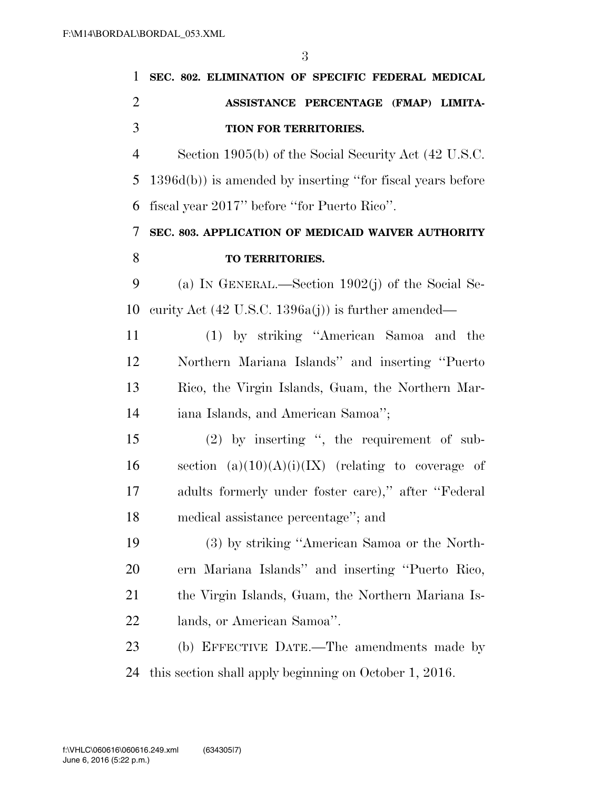| 1              | SEC. 802. ELIMINATION OF SPECIFIC FEDERAL MEDICAL              |
|----------------|----------------------------------------------------------------|
| $\overline{2}$ | ASSISTANCE PERCENTAGE (FMAP) LIMITA-                           |
| 3              | TION FOR TERRITORIES.                                          |
| $\overline{4}$ | Section 1905(b) of the Social Security Act (42 U.S.C.          |
| 5              | $1396d(b)$ ) is amended by inserting "for fiscal years before  |
| 6              | fiscal year 2017" before "for Puerto Rico".                    |
| 7              | SEC. 803. APPLICATION OF MEDICAID WAIVER AUTHORITY             |
| 8              | TO TERRITORIES.                                                |
| 9              | (a) IN GENERAL.—Section $1902(j)$ of the Social Se-            |
| 10             | curity Act $(42 \text{ U.S.C. } 1396a(j))$ is further amended— |
| 11             | (1) by striking "American Samoa and the                        |
| 12             | Northern Mariana Islands" and inserting "Puerto"               |
| 13             | Rico, the Virgin Islands, Guam, the Northern Mar-              |
| 14             | iana Islands, and American Samoa";                             |
| 15             | $(2)$ by inserting ", the requirement of sub-                  |
| 16             | section $(a)(10)(A)(i)(IX)$ (relating to coverage of           |
| 17             | adults formerly under foster care)," after "Federal            |
| 18             | medical assistance percentage"; and                            |
| 19             | (3) by striking "American Samoa or the North-                  |
| 20             | ern Mariana Islands" and inserting "Puerto Rico,               |
| 21             | the Virgin Islands, Guam, the Northern Mariana Is-             |
| 22             | lands, or American Samoa".                                     |
| 23             | (b) EFFECTIVE DATE.—The amendments made by                     |
| 24             | this section shall apply beginning on October 1, 2016.         |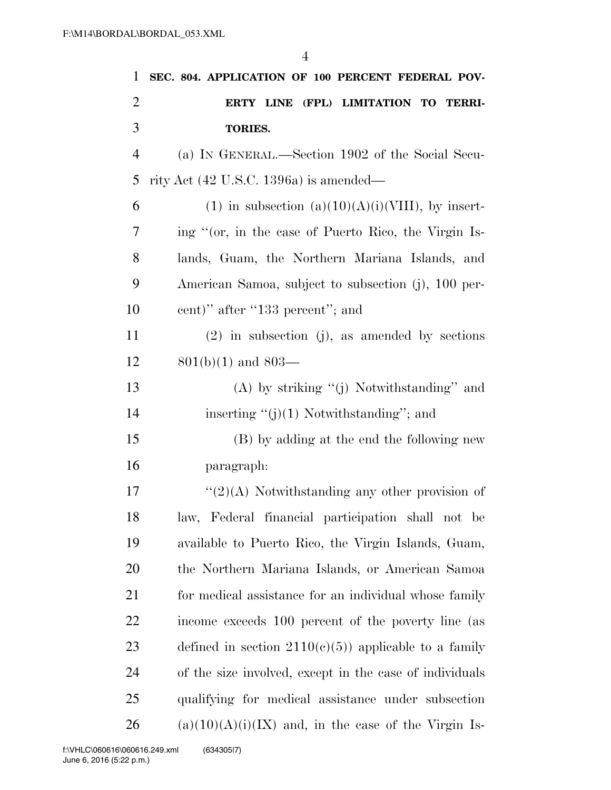| 1              | SEC. 804. APPLICATION OF 100 PERCENT FEDERAL POV-       |
|----------------|---------------------------------------------------------|
| 2              | ERTY LINE (FPL) LIMITATION TO TERRI-                    |
| 3              | <b>TORIES.</b>                                          |
| $\overline{4}$ | (a) IN GENERAL.—Section 1902 of the Social Secu-        |
| 5              | rity Act $(42 \text{ U.S.C. } 1396a)$ is amended—       |
| 6              | $(1)$ in subsection $(a)(10)(A)(i)(VIII)$ , by insert-  |
| 7              | ing "(or, in the case of Puerto Rico, the Virgin Is-    |
| 8              | lands, Guam, the Northern Mariana Islands, and          |
| 9              | American Samoa, subject to subsection (j), 100 per-     |
| 10             | cent)" after "133 percent"; and                         |
| 11             | $(2)$ in subsection (j), as amended by sections         |
| 12             | $801(b)(1)$ and $803-$                                  |
| 13             | $(A)$ by striking " $(j)$ Notwithstanding" and          |
| 14             | inserting " $(j)(1)$ Notwithstanding"; and              |
| 15             | (B) by adding at the end the following new              |
| 16             | paragraph:                                              |
| 17             | $\lq(2)(A)$ Notwithstanding any other provision of      |
| 18             | law, Federal financial participation shall not be       |
| 19             | available to Puerto Rico, the Virgin Islands, Guam,     |
| 20             | the Northern Mariana Islands, or American Samoa         |
| 21             | for medical assistance for an individual whose family   |
| 22             | income exceeds 100 percent of the poverty line (as      |
| 23             | defined in section $2110(c)(5)$ applicable to a family  |
| 24             | of the size involved, except in the case of individuals |
| 25             | qualifying for medical assistance under subsection      |
| 26             | $(a)(10)(A)(i)(IX)$ and, in the case of the Virgin Is-  |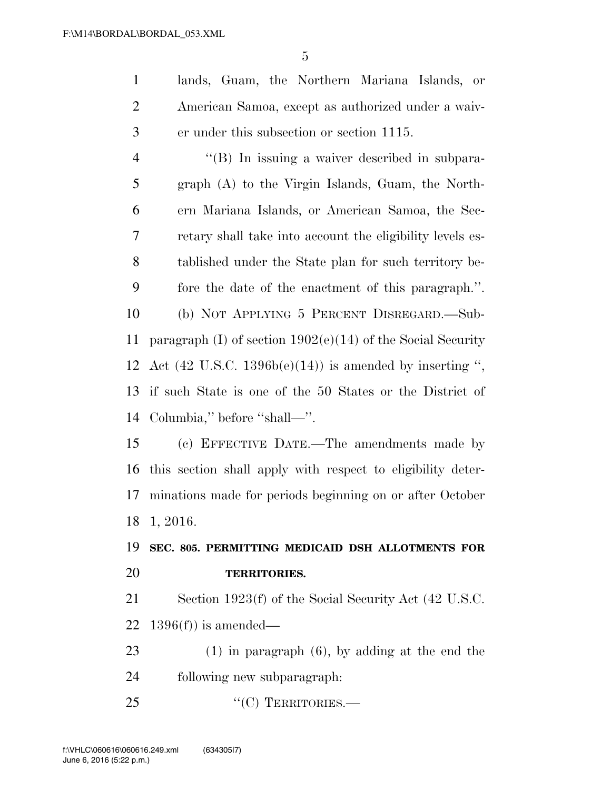lands, Guam, the Northern Mariana Islands, or American Samoa, except as authorized under a waiv-er under this subsection or section 1115.

 ''(B) In issuing a waiver described in subpara- graph (A) to the Virgin Islands, Guam, the North- ern Mariana Islands, or American Samoa, the Sec- retary shall take into account the eligibility levels es- tablished under the State plan for such territory be- fore the date of the enactment of this paragraph.''. (b) NOT APPLYING 5 PERCENT DISREGARD.—Sub- paragraph (I) of section 1902(e)(14) of the Social Security 12 Act  $(42 \text{ U.S.C. } 1396b(e)(14))$  is amended by inserting ", if such State is one of the 50 States or the District of Columbia,'' before ''shall—''.

 (c) EFFECTIVE DATE.—The amendments made by this section shall apply with respect to eligibility deter- minations made for periods beginning on or after October 1, 2016.

#### **SEC. 805. PERMITTING MEDICAID DSH ALLOTMENTS FOR TERRITORIES.**

 Section 1923(f) of the Social Security Act (42 U.S.C. 22 1396(f)) is amended—

 (1) in paragraph (6), by adding at the end the following new subparagraph:

25 "'(C) TERRITORIES.